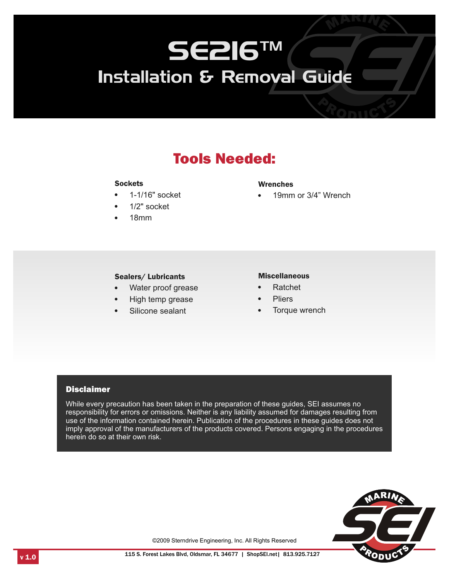# SE216™ Installation & Removal Guide

## Tools Needed:

#### **Sockets**

- **Sockets**<br>• 1-1/16" **·** • 1-1/16" socket<br>• 1/2" socket
- 1/2" socket
- 18mm

Wrenches

19mm or 3/4" Wrench

## **Sealers/ Lubricants**<br>• Mater proof gree

- Water proof grease<br>• High temp grease **Example 18 Except Alternation Miscellaneous**<br>
Miscellaneous<br>
Miscellaneous<br>
High temp grease<br>
Silicone sealant<br>
Silicone sealant<br> **Complexity Complexity Silicone** Sealant<br> **Complexity Complexity Silicone Sealant**
- High temp grease<br>Silicone sealant
- 

- 
- 
- Torque wrench

#### **Disclaimer**

While every precaution has been taken in the preparation of these guides, SEI assumes no responsibility for errors or omissions. Neither is any liability assumed for damages resulting from use of the information contained herein. Publication of the procedures in these guides does not imply approval of the manufacturers of the products covered. Persons engaging in the procedures herein do so at their own risk.



©2009 Sterndrive Engineering, Inc. All Rights Reserved

1.0 1.0 115 S. Forest Lakes Blvd, Oldsmar, FL 34677 | ShopSEI.net | 813.925.7127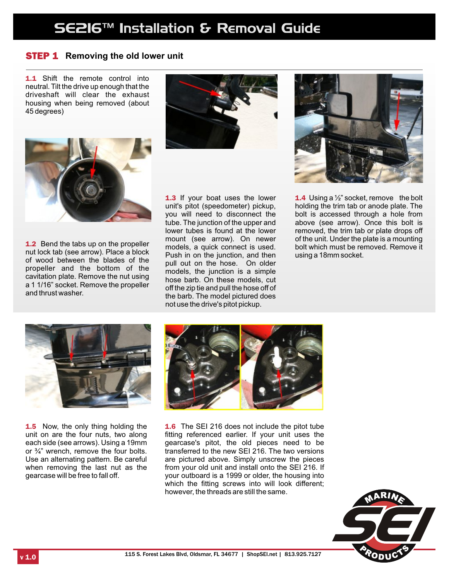## SE216™ Installation & Removal Guide

## STEP 1 **Removing the old lower unit**

**1.1** Shift the remote control into neutral. Tilt the drive up enough that the driveshaft will clear the exhaust housing when being removed (about 45 degrees)





1.2 Bend the tabs up on the propeller nut lock tab (see arrow). Place a block of wood between the blades of the propeller and the bottom of the cavitation plate. Remove the nut using a 1 1/16" socket. Remove the propeller and thrust washer.

1.3 If your boat uses the lower unit's pitot (speedometer) pickup, you will need to disconnect the tube. The junction of the upper and lower tubes is found at the lower mount (see arrow). On newer models, a quick connect is used. Push in on the junction, and then pull out on the hose. On older models, the junction is a simple hose barb. On these models, cut off the zip tie and pull the hose off of the barb. The model pictured does not use the drive's pitot pickup.



**1.4** Using a  $\frac{1}{2}$  socket, remove the bolt holding the trim tab or anode plate. The bolt is accessed through a hole from above (see arrow). Once this bolt is removed, the trim tab or plate drops off of the unit. Under the plate is a mounting bolt which must be removed. Remove it using a 18mm socket.



1.5 Now, the only thing holding the unit on are the four nuts, two along each side (see arrows). Using a 19mm or ¾" wrench, remove the four bolts. Use an alternating pattern. Be careful when removing the last nut as the gearcase will be free to fall off.



1.6 The SEI 216 does not include the pitot tube fitting referenced earlier. If your unit uses the gearcase's pitot, the old pieces need to be transferred to the new SEI 216. The two versions are pictured above. Simply unscrew the pieces from your old unit and install onto the SEI 216. If your outboard is a 1999 or older, the housing into which the fitting screws into will look different; however, the threads are still the same.

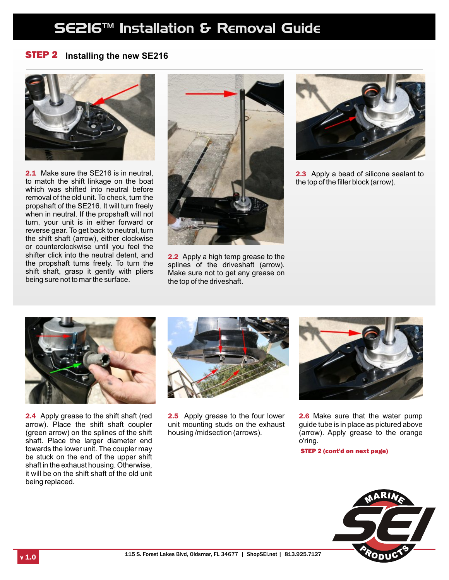## SE216™ Installation & Removal Guide

### STEP 2 **Installing the new SE216**



2.1 Make sure the SE216 is in neutral, to match the shift linkage on the boat which was shifted into neutral before removal of the old unit. To check, turn the propshaft of the SE216. It will turn freely when in neutral. If the propshaft will not turn, your unit is in either forward or reverse gear. To get back to neutral, turn the shift shaft (arrow), either clockwise or counterclockwise until you feel the shifter click into the neutral detent, and the propshaft turns freely. To turn the shift shaft, grasp it gently with pliers being sure not to mar the surface.



2.2 Apply a high temp grease to the splines of the driveshaft (arrow). Make sure not to get any grease on the top of the driveshaft.



2.3 Apply a bead of silicone sealant to the top of the filler block (arrow).



2.4 Apply grease to the shift shaft (red arrow). Place the shift shaft coupler (green arrow) on the splines of the shift shaft. Place the larger diameter end towards the lower unit. The coupler may be stuck on the end of the upper shift shaft in the exhaust housing. Otherwise, it will be on the shift shaft of the old unit being replaced.



2.5 Apply grease to the four lower unit mounting studs on the exhaust housing /midsection (arrows).



2.6 Make sure that the water pump guide tube is in place as pictured above (arrow). Apply grease to the orange o'ring.

STEP 2 (cont'd on next page)

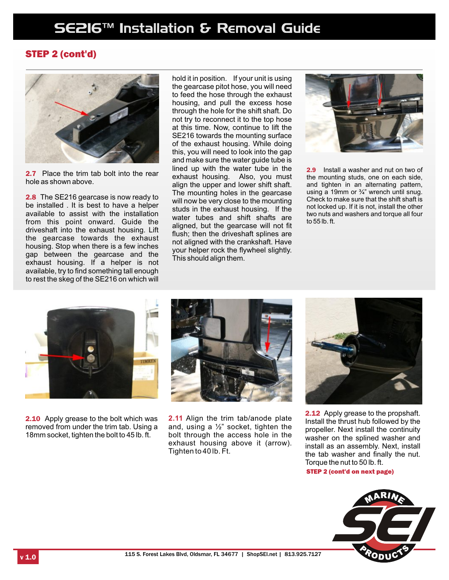### STEP 2 (cont'd)



2.7 Place the trim tab bolt into the rear hole as shown above.

2.8 The SE216 gearcase is now ready to be installed . It is best to have a helper available to assist with the installation from this point onward. Guide the driveshaft into the exhaust housing. Lift the gearcase towards the exhaust housing. Stop when there is a few inches gap between the gearcase and the exhaust housing. If a helper is not available, try to find something tall enough to rest the skeg of the SE216 on which will

hold it in position. If your unit is using the gearcase pitot hose, you will need to feed the hose through the exhaust housing, and pull the excess hose through the hole for the shift shaft. Do not try to reconnect it to the top hose at this time. Now, continue to lift the SE216 towards the mounting surface of the exhaust housing. While doing this, you will need to look into the gap and make sure the water guide tube is lined up with the water tube in the exhaust housing. Also, you must align the upper and lower shift shaft. The mounting holes in the gearcase will now be very close to the mounting studs in the exhaust housing. If the water tubes and shift shafts are aligned, but the gearcase will not fit flush; then the driveshaft splines are not aligned with the crankshaft. Have your helper rock the flywheel slightly. This should align them.



2.9 Install a washer and nut on two of the mounting studs, one on each side, and tighten in an alternating pattern, using a 19mm or  $\frac{3}{4}$ " wrench until snug. Check to make sure that the shift shaft is not locked up. If it is not, install the other two nuts and washers and torque all four to 55 lb. ft.



2.10 Apply grease to the bolt which was removed from under the trim tab. Using a 18mm socket, tighten the bolt to 45 lb. ft.



**2.11** Align the trim tab/anode plate and, using a  $\frac{1}{2}$ " socket, tighten the bolt through the access hole in the exhaust housing above it (arrow). Tighten to 40 lb. Ft.



2.12 Apply grease to the propshaft. Install the thrust hub followed by the propeller. Next install the continuity washer on the splined washer and install as an assembly. Next, install the tab washer and finally the nut. Torque the nut to 50 lb. ft.

STEP 2 (cont'd on next page)